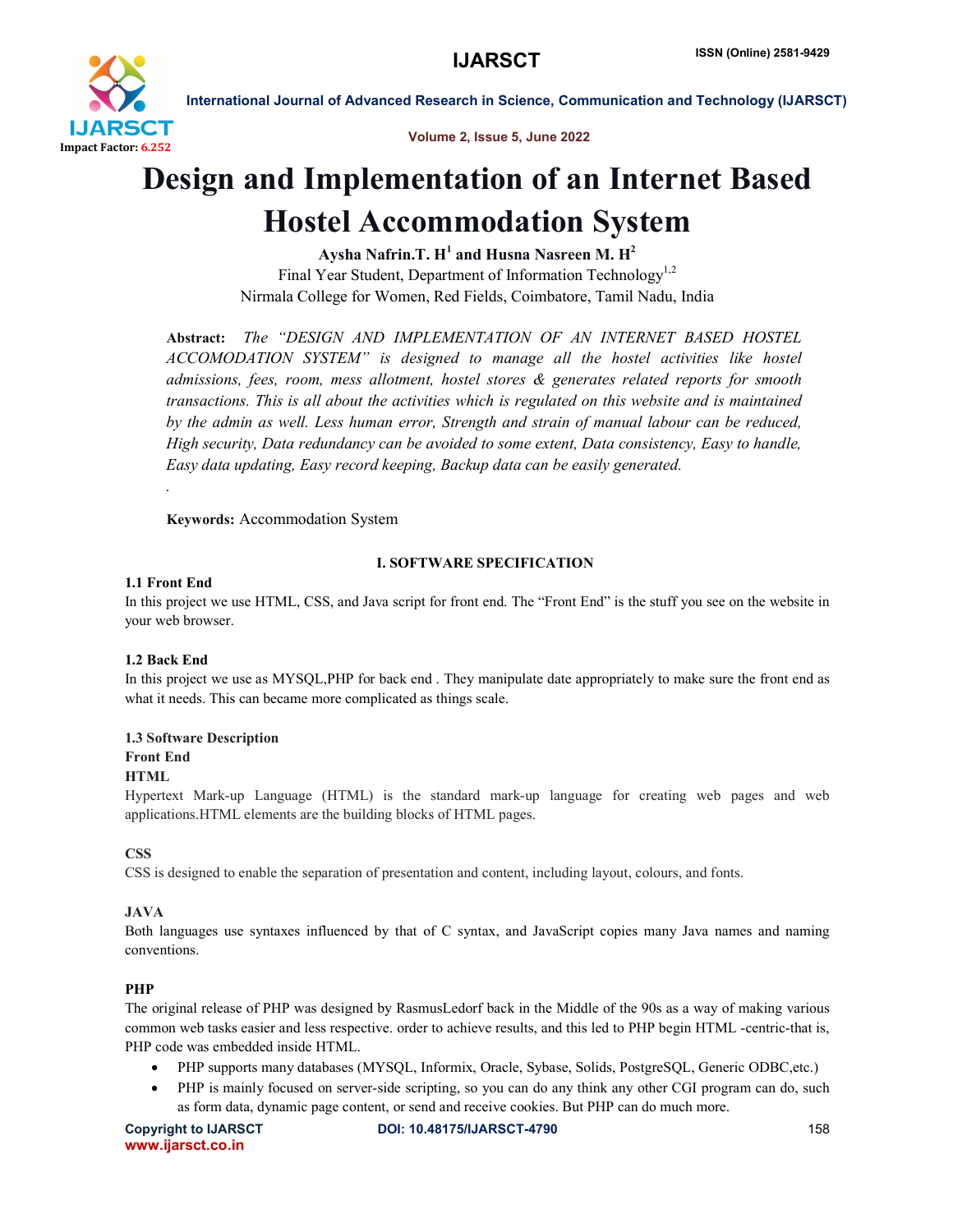

Volume 2, Issue 5, June 2022

# Design and Implementation of an Internet Based Hostel Accommodation System

Aysha Nafrin.T.  $H^1$  and Husna Nasreen M.  $H^2$ Final Year Student, Department of Information Technology<sup>1,2</sup> Nirmala College for Women, Red Fields, Coimbatore, Tamil Nadu, India

Abstract: *The "DESIGN AND IMPLEMENTATION OF AN INTERNET BASED HOSTEL ACCOMODATION SYSTEM" is designed to manage all the hostel activities like hostel admissions, fees, room, mess allotment, hostel stores & generates related reports for smooth transactions. This is all about the activities which is regulated on this website and is maintained by the admin as well. Less human error, Strength and strain of manual labour can be reduced, High security, Data redundancy can be avoided to some extent, Data consistency, Easy to handle, Easy data updating, Easy record keeping, Backup data can be easily generated.*

Keywords: Accommodation System

# I. SOFTWARE SPECIFICATION

# 1.1 Front End

*.*

In this project we use HTML, CSS, and Java script for front end. The "Front End" is the stuff you see on the website in your web browser.

# 1.2 Back End

In this project we use as MYSQL,PHP for back end . They manipulate date appropriately to make sure the front end as what it needs. This can became more complicated as things scale.

# 1.3 Software Description

# Front End

# HTML

Hypertext Mark-up Language (HTML) is the standard mark-up language for creating web pages and web applications.HTML elements are the building blocks of HTML pages.

# **CSS**

CSS is designed to enable the separation of presentation and content, including layout, colours, and fonts.

# JAVA

Both languages use syntaxes influenced by that of C syntax, and JavaScript copies many Java names and naming conventions.

# PHP

The original release of PHP was designed by RasmusLedorf back in the Middle of the 90s as a way of making various common web tasks easier and less respective. order to achieve results, and this led to PHP begin HTML -centric-that is, PHP code was embedded inside HTML.

- PHP supports many databases (MYSQL, Informix, Oracle, Sybase, Solids, PostgreSQL, Generic ODBC,etc.)
- PHP is mainly focused on server-side scripting, so you can do any think any other CGI program can do, such as form data, dynamic page content, or send and receive cookies. But PHP can do much more.

www.ijarsct.co.in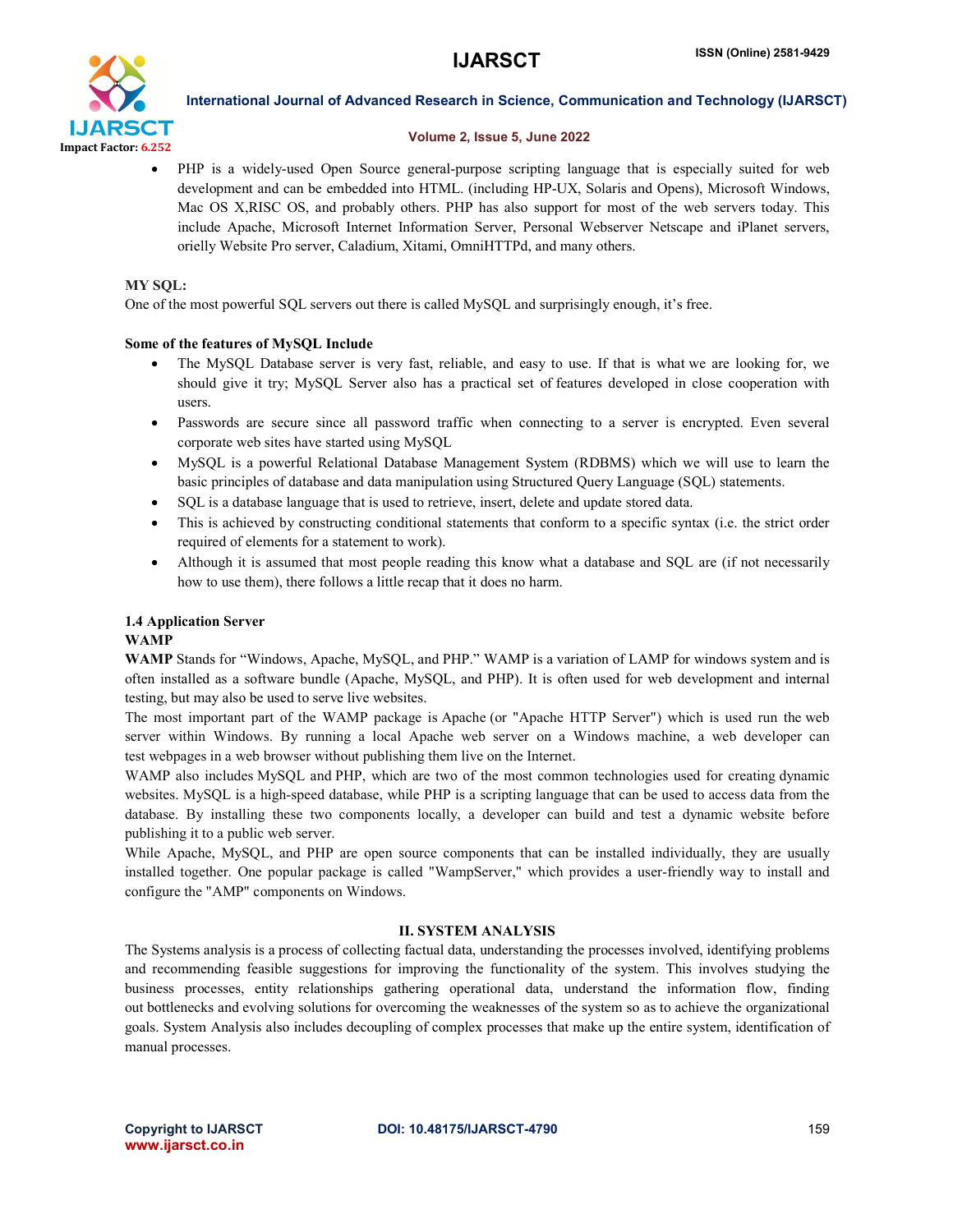

#### Volume 2, Issue 5, June 2022

 PHP is a widely-used Open Source general-purpose scripting language that is especially suited for web development and can be embedded into HTML. (including HP-UX, Solaris and Opens), Microsoft Windows, Mac OS X,RISC OS, and probably others. PHP has also support for most of the web servers today. This include Apache, Microsoft Internet Information Server, Personal Webserver Netscape and iPlanet servers, orielly Website Pro server, Caladium, Xitami, OmniHTTPd, and many others.

### MY SOL:

One of the most powerful SQL servers out there is called MySQL and surprisingly enough, it's free.

### Some of the features of MySQL Include

- The MySQL Database server is very fast, reliable, and easy to use. If that is what we are looking for, we should give it try; MySQL Server also has a practical set of features developed in close cooperation with users.
- Passwords are secure since all password traffic when connecting to a server is encrypted. Even several corporate web sites have started using MySQL
- MySQL is a powerful Relational Database Management System (RDBMS) which we will use to learn the basic principles of database and data manipulation using Structured Query Language (SQL) statements.
- SQL is a database language that is used to retrieve, insert, delete and update stored data.
- This is achieved by constructing conditional statements that conform to a specific syntax (i.e. the strict order required of elements for a statement to work).
- Although it is assumed that most people reading this know what a database and SQL are (if not necessarily how to use them), there follows a little recap that it does no harm.

# 1.4 Application Server

#### WAMP

WAMP Stands for "Windows, Apache, MySQL, and PHP." WAMP is a variation of LAMP for windows system and is often installed as a software bundle (Apache, MySQL, and PHP). It is often used for web development and internal testing, but may also be used to serve live websites.

The most important part of the WAMP package is Apache (or "Apache HTTP Server") which is used run the web server within Windows. By running a local Apache web server on a Windows machine, a web developer can test webpages in a web browser without publishing them live on the Internet.

WAMP also includes MySQL and PHP, which are two of the most common technologies used for creating dynamic websites. MySQL is a high-speed database, while PHP is a scripting language that can be used to access data from the database. By installing these two components locally, a developer can build and test a dynamic website before publishing it to a public web server.

While Apache, MySQL, and PHP are open source components that can be installed individually, they are usually installed together. One popular package is called "WampServer," which provides a user-friendly way to install and configure the "AMP" components on Windows.

# II. SYSTEM ANALYSIS

The Systems analysis is a process of collecting factual data, understanding the processes involved, identifying problems and recommending feasible suggestions for improving the functionality of the system. This involves studying the business processes, entity relationships gathering operational data, understand the information flow, finding out bottlenecks and evolving solutions for overcoming the weaknesses of the system so as to achieve the organizational goals. System Analysis also includes decoupling of complex processes that make up the entire system, identification of manual processes.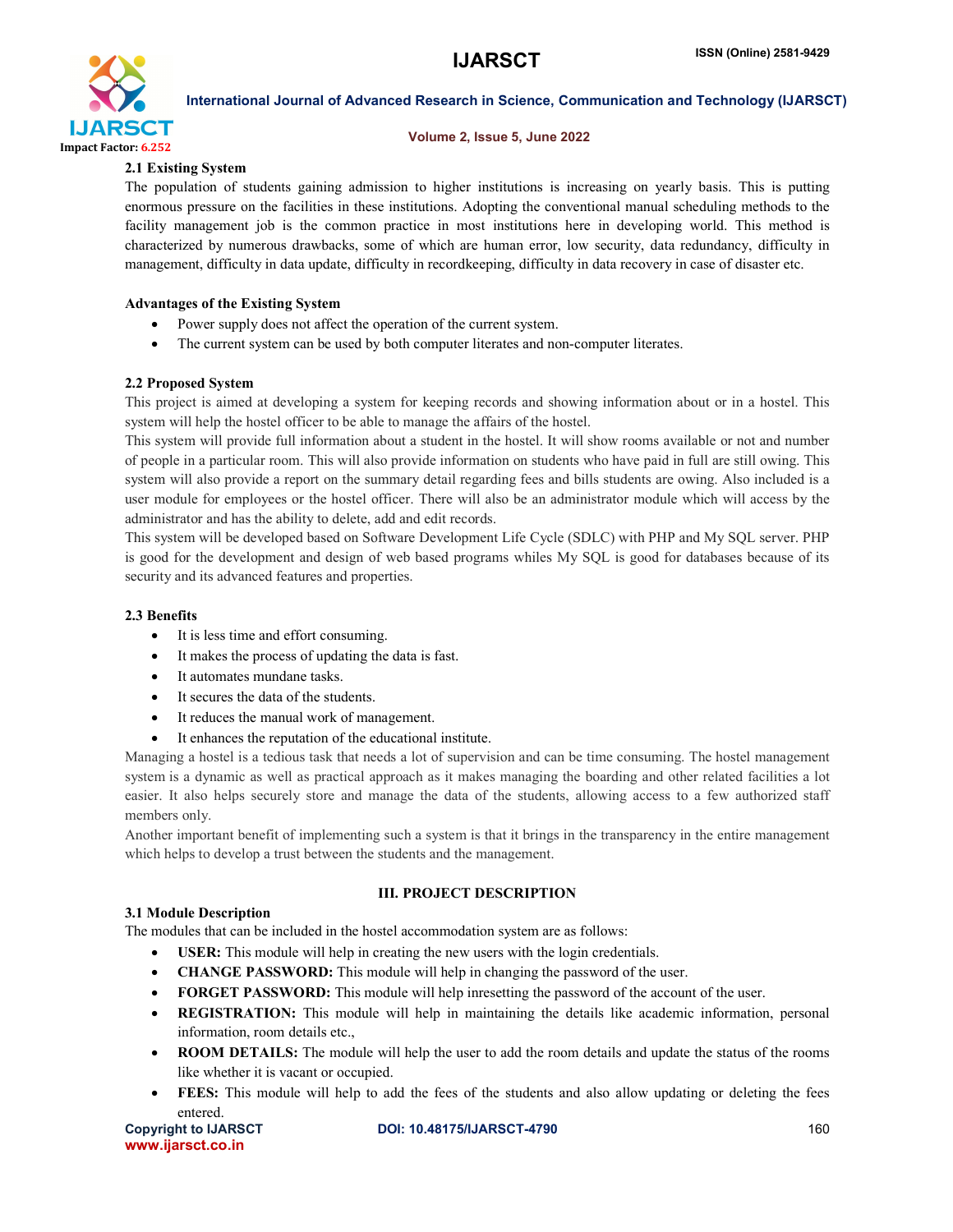

#### Volume 2, Issue 5, June 2022

### 2.1 Existing System

The population of students gaining admission to higher institutions is increasing on yearly basis. This is putting enormous pressure on the facilities in these institutions. Adopting the conventional manual scheduling methods to the facility management job is the common practice in most institutions here in developing world. This method is characterized by numerous drawbacks, some of which are human error, low security, data redundancy, difficulty in management, difficulty in data update, difficulty in recordkeeping, difficulty in data recovery in case of disaster etc.

#### Advantages of the Existing System

- Power supply does not affect the operation of the current system.
- The current system can be used by both computer literates and non-computer literates.

#### 2.2 Proposed System

This project is aimed at developing a system for keeping records and showing information about or in a hostel. This system will help the hostel officer to be able to manage the affairs of the hostel.

This system will provide full information about a student in the hostel. It will show rooms available or not and number of people in a particular room. This will also provide information on students who have paid in full are still owing. This system will also provide a report on the summary detail regarding fees and bills students are owing. Also included is a user module for employees or the hostel officer. There will also be an administrator module which will access by the administrator and has the ability to delete, add and edit records.

This system will be developed based on Software Development Life Cycle (SDLC) with PHP and My SQL server. PHP is good for the development and design of web based programs whiles My SQL is good for databases because of its security and its advanced features and properties.

#### 2.3 Benefits

- It is less time and effort consuming.
- It makes the process of updating the data is fast.
- It automates mundane tasks.
- It secures the data of the students.
- It reduces the manual work of management.
- It enhances the reputation of the educational institute.

Managing a hostel is a tedious task that needs a lot of supervision and can be time consuming. The hostel management system is a dynamic as well as practical approach as it makes managing the boarding and other related facilities a lot easier. It also helps securely store and manage the data of the students, allowing access to a few authorized staff members only.

Another important benefit of implementing such a system is that it brings in the transparency in the entire management which helps to develop a trust between the students and the management.

## 3.1 Module Description

# III. PROJECT DESCRIPTION

The modules that can be included in the hostel accommodation system are as follows:

- USER: This module will help in creating the new users with the login credentials.
- CHANGE PASSWORD: This module will help in changing the password of the user.
- FORGET PASSWORD: This module will help inresetting the password of the account of the user.
- REGISTRATION: This module will help in maintaining the details like academic information, personal information, room details etc.,
- ROOM DETAILS: The module will help the user to add the room details and update the status of the rooms like whether it is vacant or occupied.
- FEES: This module will help to add the fees of the students and also allow updating or deleting the fees entered.

www.ijarsct.co.in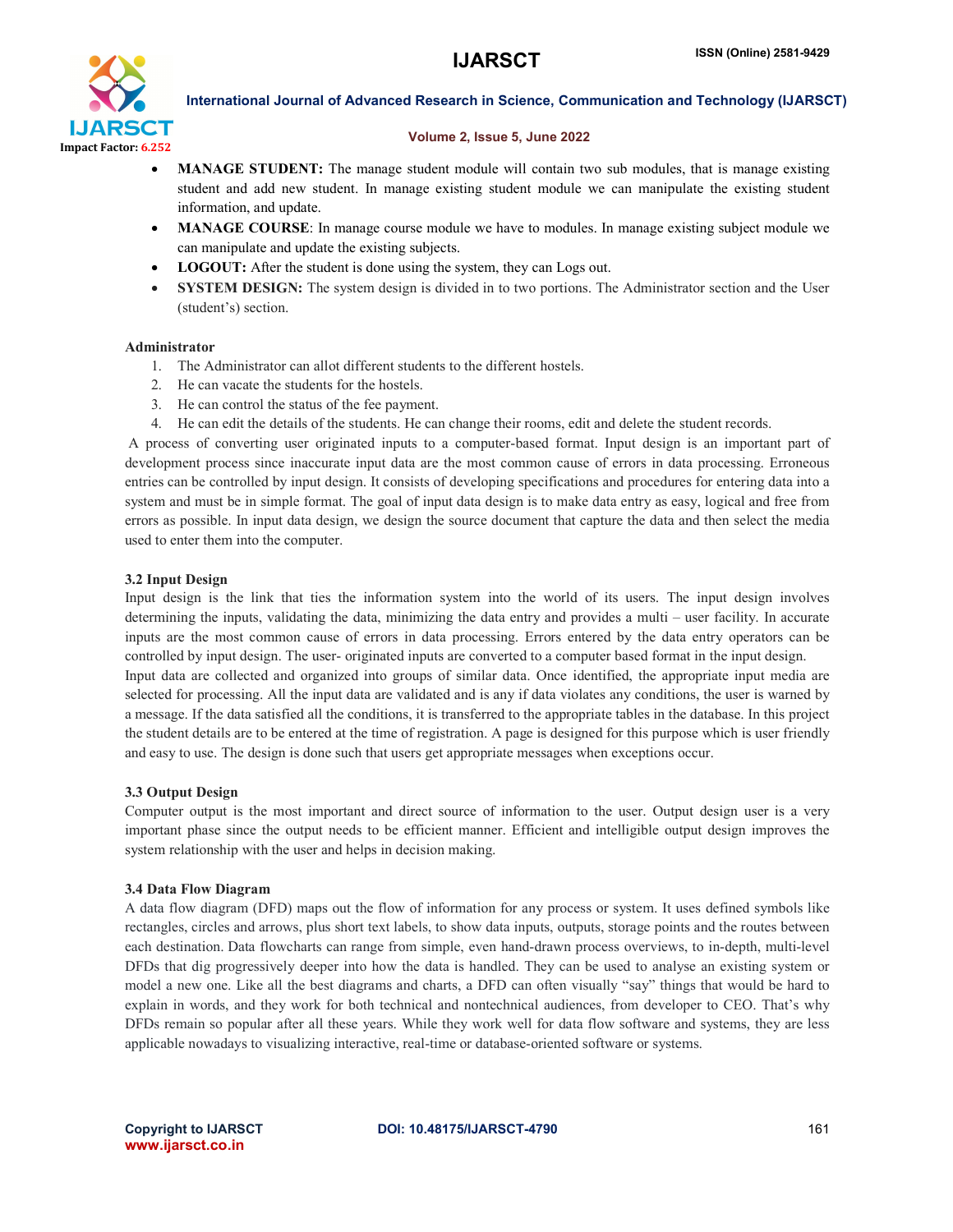

#### Volume 2, Issue 5, June 2022

- MANAGE STUDENT: The manage student module will contain two sub modules, that is manage existing student and add new student. In manage existing student module we can manipulate the existing student information, and update.
- MANAGE COURSE: In manage course module we have to modules. In manage existing subject module we can manipulate and update the existing subjects.
- LOGOUT: After the student is done using the system, they can Logs out.
- SYSTEM DESIGN: The system design is divided in to two portions. The Administrator section and the User (student's) section.

#### Administrator

- 1. The Administrator can allot different students to the different hostels.
- 2. He can vacate the students for the hostels.
- 3. He can control the status of the fee payment.
- 4. He can edit the details of the students. He can change their rooms, edit and delete the student records.

A process of converting user originated inputs to a computer-based format. Input design is an important part of development process since inaccurate input data are the most common cause of errors in data processing. Erroneous entries can be controlled by input design. It consists of developing specifications and procedures for entering data into a system and must be in simple format. The goal of input data design is to make data entry as easy, logical and free from errors as possible. In input data design, we design the source document that capture the data and then select the media used to enter them into the computer.

#### 3.2 Input Design

Input design is the link that ties the information system into the world of its users. The input design involves determining the inputs, validating the data, minimizing the data entry and provides a multi – user facility. In accurate inputs are the most common cause of errors in data processing. Errors entered by the data entry operators can be controlled by input design. The user- originated inputs are converted to a computer based format in the input design. Input data are collected and organized into groups of similar data. Once identified, the appropriate input media are selected for processing. All the input data are validated and is any if data violates any conditions, the user is warned by a message. If the data satisfied all the conditions, it is transferred to the appropriate tables in the database. In this project the student details are to be entered at the time of registration. A page is designed for this purpose which is user friendly and easy to use. The design is done such that users get appropriate messages when exceptions occur.

#### 3.3 Output Design

Computer output is the most important and direct source of information to the user. Output design user is a very important phase since the output needs to be efficient manner. Efficient and intelligible output design improves the system relationship with the user and helps in decision making.

#### 3.4 Data Flow Diagram

A data flow diagram (DFD) maps out the flow of information for any process or system. It uses defined symbols like rectangles, circles and arrows, plus short text labels, to show data inputs, outputs, storage points and the routes between each destination. Data flowcharts can range from simple, even hand-drawn process overviews, to in-depth, multi-level DFDs that dig progressively deeper into how the data is handled. They can be used to analyse an existing system or model a new one. Like all the best diagrams and charts, a DFD can often visually "say" things that would be hard to explain in words, and they work for both technical and nontechnical audiences, from developer to CEO. That's why DFDs remain so popular after all these years. While they work well for data flow software and systems, they are less applicable nowadays to visualizing interactive, real-time or database-oriented software or systems.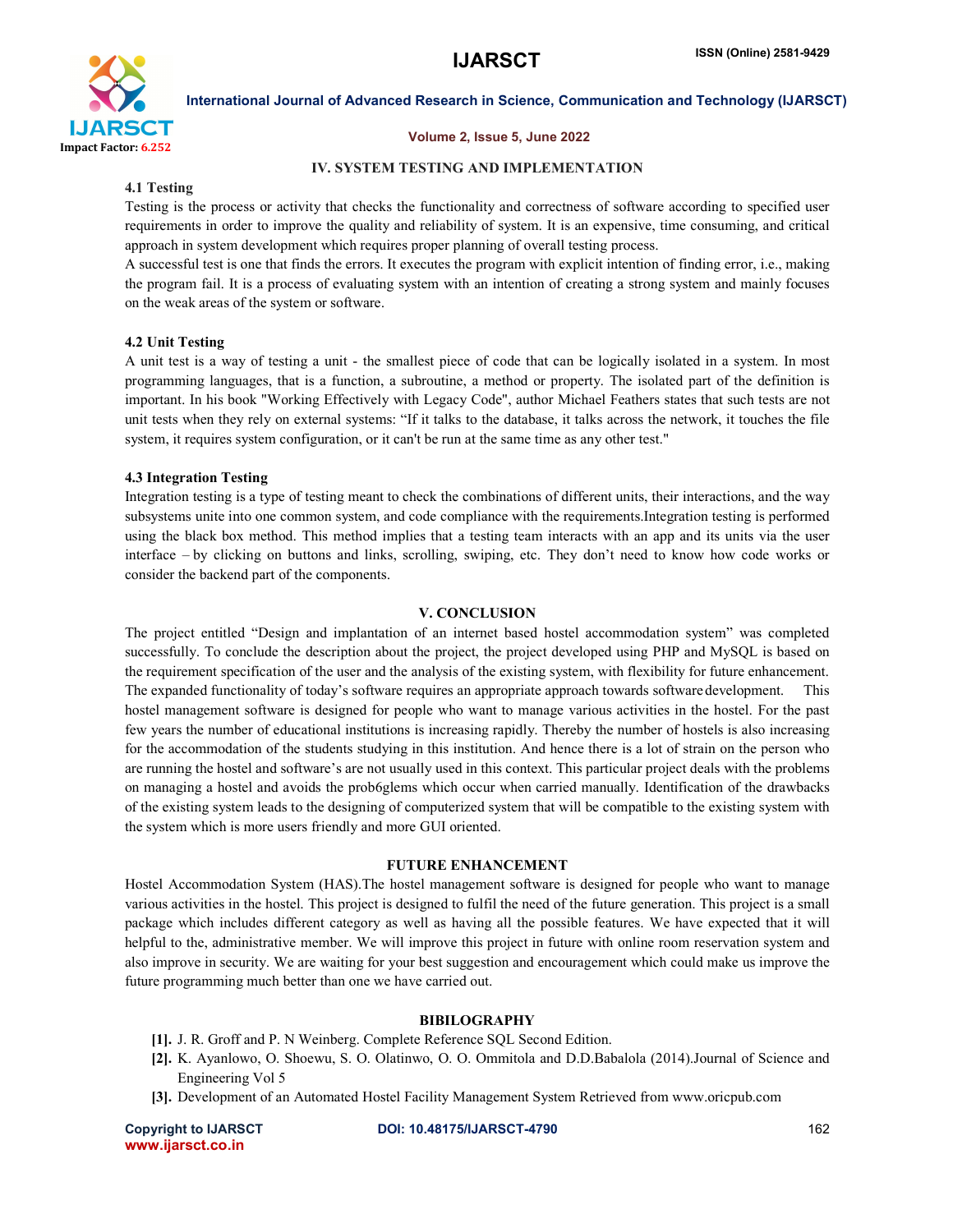

#### Volume 2, Issue 5, June 2022

### IV. SYSTEM TESTING AND IMPLEMENTATION

#### 4.1 Testing

Testing is the process or activity that checks the functionality and correctness of software according to specified user requirements in order to improve the quality and reliability of system. It is an expensive, time consuming, and critical approach in system development which requires proper planning of overall testing process.

A successful test is one that finds the errors. It executes the program with explicit intention of finding error, i.e., making the program fail. It is a process of evaluating system with an intention of creating a strong system and mainly focuses on the weak areas of the system or software.

### 4.2 Unit Testing

A unit test is a way of testing a unit - the smallest piece of code that can be logically isolated in a system. In most programming languages, that is a function, a subroutine, a method or property. The isolated part of the definition is important. In his book "Working Effectively with Legacy Code", author Michael Feathers states that such tests are not unit tests when they rely on external systems: "If it talks to the database, it talks across the network, it touches the file system, it requires system configuration, or it can't be run at the same time as any other test."

#### 4.3 Integration Testing

Integration testing is a type of testing meant to check the combinations of different units, their interactions, and the way subsystems unite into one common system, and code compliance with the requirements.Integration testing is performed using the black box method. This method implies that a testing team interacts with an app and its units via the user interface – by clicking on buttons and links, scrolling, swiping, etc. They don't need to know how code works or consider the backend part of the components.

#### V. CONCLUSION

The project entitled "Design and implantation of an internet based hostel accommodation system" was completed successfully. To conclude the description about the project, the project developed using PHP and MySQL is based on the requirement specification of the user and the analysis of the existing system, with flexibility for future enhancement. The expanded functionality of today's software requires an appropriate approach towards software development. This hostel management software is designed for people who want to manage various activities in the hostel. For the past few years the number of educational institutions is increasing rapidly. Thereby the number of hostels is also increasing for the accommodation of the students studying in this institution. And hence there is a lot of strain on the person who are running the hostel and software's are not usually used in this context. This particular project deals with the problems on managing a hostel and avoids the prob6glems which occur when carried manually. Identification of the drawbacks of the existing system leads to the designing of computerized system that will be compatible to the existing system with the system which is more users friendly and more GUI oriented.

#### FUTURE ENHANCEMENT

Hostel Accommodation System (HAS).The hostel management software is designed for people who want to manage various activities in the hostel. This project is designed to fulfil the need of the future generation. This project is a small package which includes different category as well as having all the possible features. We have expected that it will helpful to the, administrative member. We will improve this project in future with online room reservation system and also improve in security. We are waiting for your best suggestion and encouragement which could make us improve the future programming much better than one we have carried out.

#### BIBILOGRAPHY

- [1]. J. R. Groff and P. N Weinberg. Complete Reference SQL Second Edition.
- [2]. K. Ayanlowo, O. Shoewu, S. O. Olatinwo, O. O. Ommitola and D.D.Babalola (2014).Journal of Science and Engineering Vol 5
- [3]. Development of an Automated Hostel Facility Management System Retrieved from www.oricpub.com

www.ijarsct.co.in